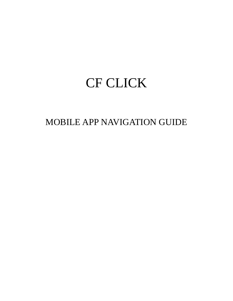# CF CLICK

MOBILE APP NAVIGATION GUIDE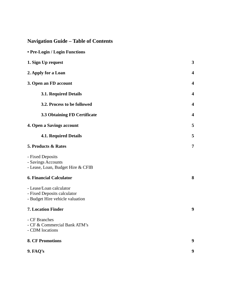# **Navigation Guide – Table of Contents**

| 3                       |
|-------------------------|
| $\boldsymbol{4}$        |
| 4                       |
| 4                       |
| $\overline{\mathbf{4}}$ |
| $\overline{\mathbf{4}}$ |
| 5                       |
| 5                       |
| 7                       |
|                         |
| 8                       |
|                         |
| $\boldsymbol{9}$        |
|                         |
| 9                       |
| 9                       |
|                         |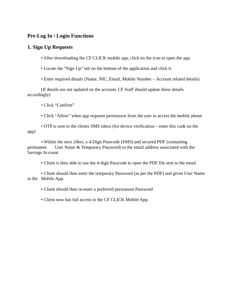# **Pre-Log In / Login Functions**

# **1. Sign Up Requests**

• After downloading the CF CLICK mobile app, click on the icon to open the app.

• Locate the "Sign Up" tab on the bottom of the application and click it.

• Enter required details (Name, NIC, Email, Mobile Number – Account related details)

(If details are not updated on the account, CF Staff should update these details accordingly)

• Click "Confirm"

• Click "Allow" when app requests permission from the user to access the mobile phone

• OTP is sent to the clients SMS inbox (for device verification – enter this code on the app)

• Within the next 24hrs, a 4-Digit Passcode (SMS) and secured PDF (containing permanent User Name & Temporary Password) to the email address associated with the Savings Account.

• Client is then able to use the 4-digit Passcode to open the PDF file sent to the email

• Client should then enter the temporary Password (as per the PDF) and given User Name in the Mobile App.

• Client should then re-enter a preferred permanent Password

• Client now has full access to the CF CLICK Mobile App.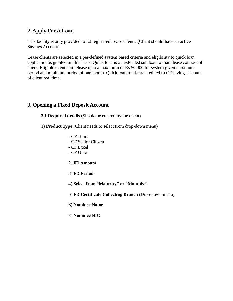# **2. Apply For A Loan**

This facility is only provided to L2 registered Lease clients. (Client should have an active Savings Account)

Lease clients are selected in a per-defined system based criteria and eligibility to quick loan application is granted on this basis. Quick loan is an extended sub loan to main lease contract of client. Eligible client can release upto a maximum of Rs 50,000 for system given maximum period and minimum period of one month. Quick loan funds are credited to CF savings account of client real time.

# **3. Opening a Fixed Deposit Account**

**3.1 Required details** (Should be entered by the client)

1) **Product Type** (Client needs to select from drop-down menu)

- CF Term - CF Senior Citizen - CF Excel - CF Ultra

2) **FD Amount**

- 3) **FD Period**
- 4) **Select from "Maturity" or "Monthly"**
- 5) **FD Certificate Collecting Branch** (Drop-down menu)
- 6) **Nominee Name**
- 7) **Nominee NIC**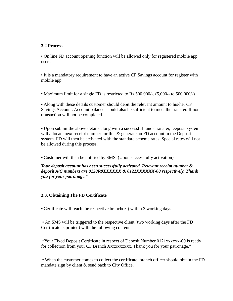#### **3.2 Process**

**•** On line FD account opening function will be allowed only for registered mobile app users

**•** It is a mandatory requirement to have an active CF Savings account for register with mobile app.

**•** Maximum limit for a single FD is restricted to Rs.500,000/-. (5,000/- to 500,000/-)

**•** Along with these details customer should debit the relevant amount to his/her CF Savings Account. Account balance should also be sufficient to meet the transfer. If not transaction will not be completed.

**•** Upon submit the above details along with a successful funds transfer, Deposit system will allocate next receipt number for this & generate an FD account in the Deposit system. FD will then be activated with the standard scheme rates. Special rates will not be allowed during this process.

**•** Customer will then be notified by SMS (Upon successfully activation)

#### *Your deposit account has been successfully activated .Relevant receipt number & deposit A/C numbers are 0120R0XXXXXX & 0121XXXXXX-00 respectively. Thank you for your patronage.*"

#### **3.3. Obtaining The FD Certificate**

**•** Certificate will reach the respective branch(es) within 3 working days

**•** An SMS will be triggered to the respective client (two working days after the FD Certificate is printed) with the following content:

"Your Fixed Deposit Certificate in respect of Deposit Number 0121xxxxxx-00 is ready for collection from your CF Branch Xxxxxxxxxx. Thank you for your patronage."

**•** When the customer comes to collect the certificate, branch officer should obtain the FD mandate sign by client & send back to City Office.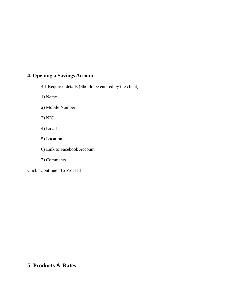# **4. Opening a Savings Account**

- 4.1 Required details (Should be entered by the client)
- 1) Name
- 2) Mobile Number
- 3) NIC
- 4) Email
- 5) Location
- 6) Link to Facebook Account
- 7) Comments

Click "Continue" To Proceed

# **5. Products & Rates**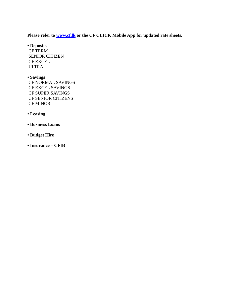### **Please refer to [www.cf.lk](http://www.cf.lk/) or the CF CLICK Mobile App for updated rate sheets.**

**• Deposits** CF TERM SENIOR CITIZEN CF EXCEL ULTRA

# **• Savings**

CF NORMAL SAVINGS CF EXCEL SAVINGS CF SUPER SAVINGS CF SENIOR CITIZENS CF MINOR

#### **• Leasing**

- **Business Loans**
- **Budget Hire**
- **Insurance – CFIB**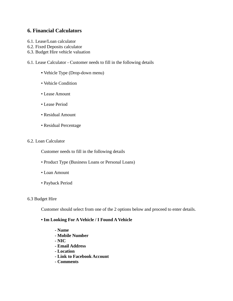# **6. Financial Calculators**

- 6.1. Lease/Loan calculator
- 6.2. Fixed Deposits calculator
- 6.3. Budget Hire vehicle valuation
- 6.1. Lease Calculator Customer needs to fill in the following details
	- Vehicle Type (Drop-down menu)
	- Vehicle Condition
	- Lease Amount
	- Lease Period
	- Residual Amount
	- Residual Percentage

#### 6.2. Loan Calculator

Customer needs to fill in the following details

- Product Type (Business Loans or Personal Loans)
- Loan Amount
- Payback Period

#### 6.3 Budget Hire

Customer should select from one of the 2 options below and proceed to enter details.

#### **• Im Looking For A Vehicle / I Found A Vehicle**

- **- Name**
- **- Mobile Number**
- **- NIC**
- **- Email Address**
- **- Location**
- **- Link to Facebook Account**
- **- Comments**